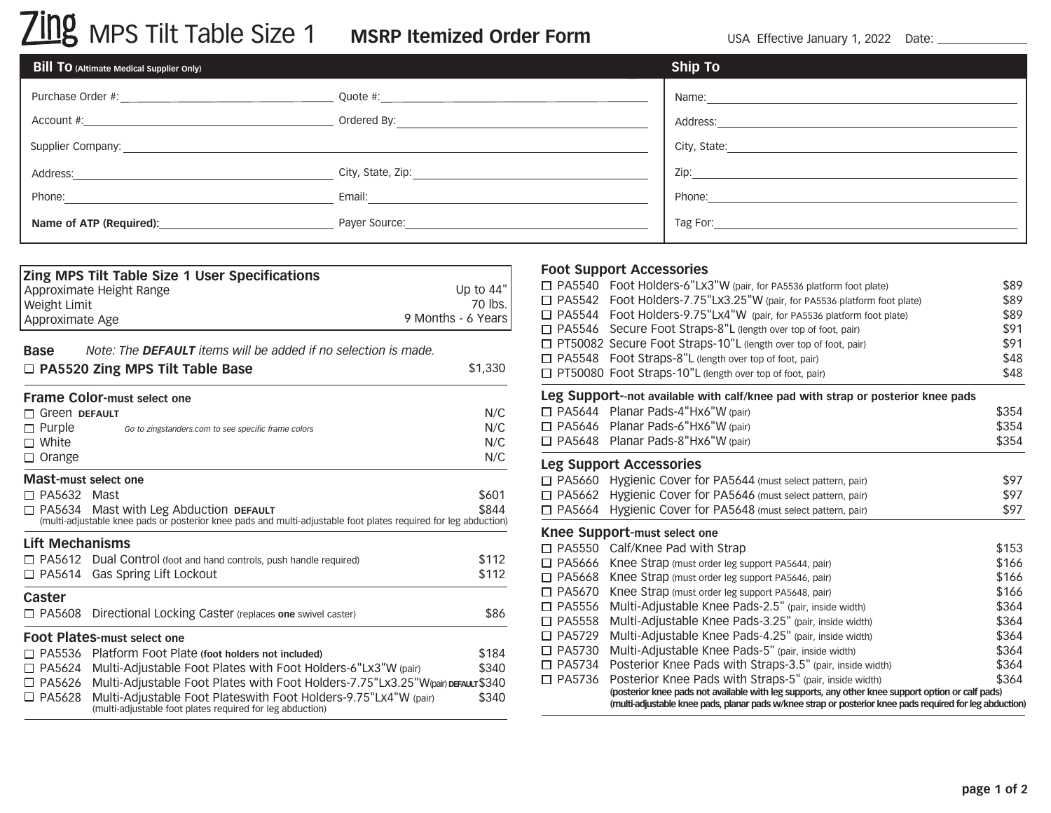| <b>Bill TO</b> (Altimate Medical Supplier Only) |                                                                                                                | <b>Ship To</b>                                                                                                                                                                                                                 |
|-------------------------------------------------|----------------------------------------------------------------------------------------------------------------|--------------------------------------------------------------------------------------------------------------------------------------------------------------------------------------------------------------------------------|
|                                                 |                                                                                                                |                                                                                                                                                                                                                                |
|                                                 | Ordered By:                                                                                                    |                                                                                                                                                                                                                                |
| Supplier Company: ________________________      |                                                                                                                | City, State: Electric City, State:                                                                                                                                                                                             |
| Address:                                        | City, State, Zip: example of the state of the state of the state of the state of the state of the state of the | $\mathsf{Zip!}\xspace$                                                                                                                                                                                                         |
| Phone:                                          | Email:                                                                                                         | Phone: 2008 2009 2010 2010 2010 2010 2011 2021 2032 2040 2041 2052 2053 2054 2055 2056 2057 2058 2059 2059 205                                                                                                                 |
| Name of ATP (Required):                         |                                                                                                                | Tag For: The Company of the Company of the Company of the Company of the Company of the Company of the Company of the Company of the Company of the Company of the Company of the Company of the Company of the Company of the |

| Approximate Height Range              | Zing MPS Tilt Table Size 1 User Specifications                                                                                                                   | Up to 44" |
|---------------------------------------|------------------------------------------------------------------------------------------------------------------------------------------------------------------|-----------|
| Weight Limit                          |                                                                                                                                                                  | 70 lbs.   |
| 9 Months - 6 Years<br>Approximate Age |                                                                                                                                                                  |           |
| Base                                  | Note: The DEFAULT items will be added if no selection is made.                                                                                                   |           |
|                                       | □ PA5520 Zing MPS Tilt Table Base                                                                                                                                | \$1,330   |
| <b>Frame Color-must select one</b>    |                                                                                                                                                                  |           |
| <b>Green DEFAULT</b>                  |                                                                                                                                                                  | N/C       |
| $\Box$ Purple                         | Go to zingstanders.com to see specific frame colors                                                                                                              | N/C       |
| $\sqcap$ White                        |                                                                                                                                                                  | N/C       |
| $\Box$ Orange                         |                                                                                                                                                                  | N/C       |
| Mast-must select one                  |                                                                                                                                                                  |           |
| $\Box$ PA5632<br>Mast                 |                                                                                                                                                                  | \$601     |
|                                       | $\Box$ PA5634 Mast with Leg Abduction DEFAULT<br>(multi-adjustable knee pads or posterior knee pads and multi-adjustable foot plates required for leg abduction) | \$844     |
| <b>Lift Mechanisms</b>                |                                                                                                                                                                  |           |
|                                       | □ PA5612 Dual Control (foot and hand controls, push handle required)                                                                                             | \$112     |
| $\square$ PA5614                      | Gas Spring Lift Lockout                                                                                                                                          | \$112     |
| Caster                                |                                                                                                                                                                  |           |
| $\Box$ PA5608                         | Directional Locking Caster (replaces one swivel caster)                                                                                                          | \$86      |
| <b>Foot Plates-must select one</b>    |                                                                                                                                                                  |           |
|                                       | $\Box$ PA5536 Platform Foot Plate (foot holders not included)                                                                                                    | \$184     |
| $\square$ PA5624                      | Multi-Adjustable Foot Plates with Foot Holders-6"Lx3"W (pair)                                                                                                    | \$340     |
| $\square$ PA5626                      | Multi-Adjustable Foot Plates with Foot Holders-7.75"Lx3.25"W(pair) DEFAULT\$340                                                                                  |           |
| $\square$ PA5628                      | Multi-Adjustable Foot Plateswith Foot Holders-9.75"Lx4"W (pair)<br>(multi-adjustable foot plates required for leg abduction)                                     | \$340     |

#### **Foot Support Accessories**

|                  | □ PA5540 Foot Holders-6"Lx3"W (pair, for PA5536 platform foot plate)                                                                                                                                          | \$89  |
|------------------|---------------------------------------------------------------------------------------------------------------------------------------------------------------------------------------------------------------|-------|
| $\square$ PA5542 | Foot Holders-7.75"Lx3.25"W (pair, for PA5536 platform foot plate)                                                                                                                                             | \$89  |
|                  | □ PA5544 Foot Holders-9.75"Lx4"W (pair, for PA5536 platform foot plate)                                                                                                                                       | \$89  |
| $\square$ PA5546 | Secure Foot Straps-8"L (length over top of foot, pair)                                                                                                                                                        | \$91  |
|                  | □ PT50082 Secure Foot Straps-10"L (length over top of foot, pair)                                                                                                                                             | \$91  |
| $\square$ PA5548 | Foot Straps-8"L (length over top of foot, pair)                                                                                                                                                               | \$48  |
|                  | $\Box$ PT50080 Foot Straps-10"L (length over top of foot, pair)                                                                                                                                               | \$48  |
|                  | Leg Support--not available with calf/knee pad with strap or posterior knee pads                                                                                                                               |       |
|                  | □ PA5644 Planar Pads-4"Hx6"W (pair)                                                                                                                                                                           | \$354 |
|                  | $\Box$ PA5646 Planar Pads-6"Hx6"W (pair)                                                                                                                                                                      | \$354 |
|                  | □ PA5648 Planar Pads-8"Hx6"W (pair)                                                                                                                                                                           | \$354 |
|                  | <b>Leg Support Accessories</b>                                                                                                                                                                                |       |
| □ PA5660         | Hygienic Cover for PA5644 (must select pattern, pair)                                                                                                                                                         | \$97  |
| □ PA5662         | Hygienic Cover for PA5646 (must select pattern, pair)                                                                                                                                                         | \$97  |
| $\square$ PA5664 | Hygienic Cover for PA5648 (must select pattern, pair)                                                                                                                                                         | \$97  |
|                  | <b>Knee Support-must select one</b>                                                                                                                                                                           |       |
|                  | $\Box$ PA5550 Calf/Knee Pad with Strap                                                                                                                                                                        | \$153 |
| $\square$ PA5666 | Knee Strap (must order leg support PA5644, pair)                                                                                                                                                              | \$166 |
| $\square$ PA5668 | Knee Strap (must order leg support PA5646, pair)                                                                                                                                                              | \$166 |
| $\square$ PA5670 | Knee Strap (must order leg support PA5648, pair)                                                                                                                                                              | \$166 |
| $\square$ PA5556 | Multi-Adjustable Knee Pads-2.5" (pair, inside width)                                                                                                                                                          | \$364 |
| $\square$ PA5558 | Multi-Adjustable Knee Pads-3.25" (pair, inside width)                                                                                                                                                         | \$364 |
| $\Box$ PA5729    | Multi-Adjustable Knee Pads-4.25" (pair, inside width)                                                                                                                                                         | \$364 |
| □ PA5730         | Multi-Adjustable Knee Pads-5" (pair, inside width)                                                                                                                                                            | \$364 |
| $\square$ PA5734 | Posterior Knee Pads with Straps-3.5" (pair, inside width)                                                                                                                                                     | \$364 |
| $\square$ PA5736 | Posterior Knee Pads with Straps-5" (pair, inside width)                                                                                                                                                       | \$364 |
|                  | (posterior knee pads not available with leg supports, any other knee support option or calf pads)<br>(multi-adjustable knee pads, planar pads w/knee strap or posterior knee pads required for leg abduction) |       |
|                  |                                                                                                                                                                                                               |       |